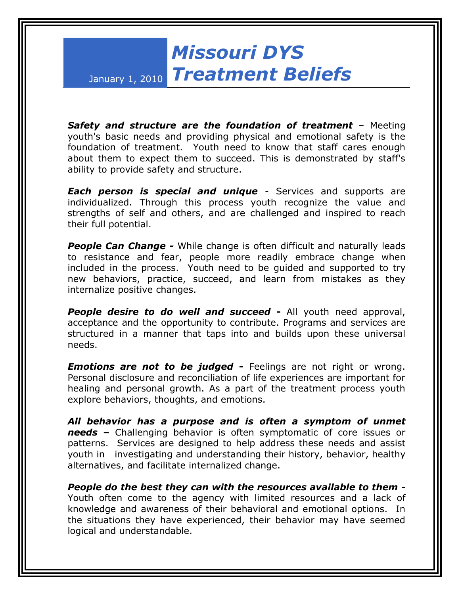## *Missouri DYS Treatment Beliefs*

January 1, 2010

*Safety and structure are the foundation of treatment* – Meeting youth's basic needs and providing physical and emotional safety is the foundation of treatment. Youth need to know that staff cares enough about them to expect them to succeed. This is demonstrated by staff's ability to provide safety and structure.

*Each person is special and unique* - Services and supports are individualized. Through this process youth recognize the value and strengths of self and others, and are challenged and inspired to reach their full potential.

*People Can Change -* While change is often difficult and naturally leads to resistance and fear, people more readily embrace change when included in the process. Youth need to be guided and supported to try new behaviors, practice, succeed, and learn from mistakes as they internalize positive changes.

**People desire to do well and succeed -** All youth need approval, acceptance and the opportunity to contribute. Programs and services are structured in a manner that taps into and builds upon these universal needs.

*Emotions are not to be judged* **-** Feelings are not right or wrong. Personal disclosure and reconciliation of life experiences are important for healing and personal growth. As a part of the treatment process youth explore behaviors, thoughts, and emotions.

*All behavior has a purpose and is often a symptom of unmet needs –* Challenging behavior is often symptomatic of core issues or patterns. Services are designed to help address these needs and assist youth in investigating and understanding their history, behavior, healthy alternatives, and facilitate internalized change.

*People do the best they can with the resources available to them* **-** Youth often come to the agency with limited resources and a lack of knowledge and awareness of their behavioral and emotional options. In the situations they have experienced, their behavior may have seemed logical and understandable.